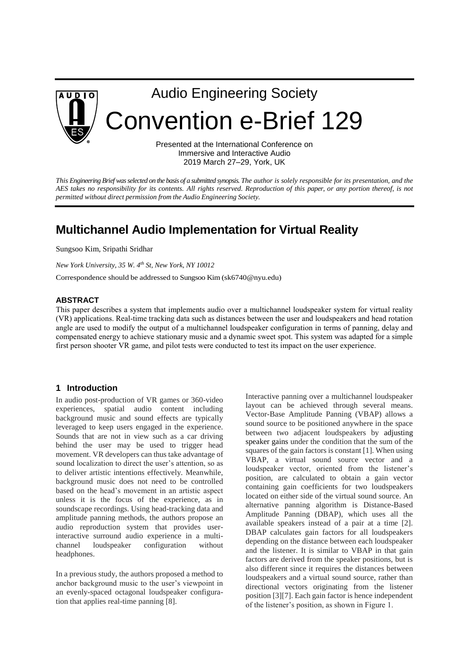

Audio Engineering Society Convention e-Brief 129

> Presented at the International Conference on Immersive and Interactive Audio 2019 March 27–29, York, UK

*This Engineering Brief was selected on the basis of a submitted synopsis. The author is solely responsible for its presentation, and the AES takes no responsibility for its contents. All rights reserved. Reproduction of this paper, or any portion thereof, is not permitted without direct permission from the Audio Engineering Society.*

# **Multichannel Audio Implementation for Virtual Reality**

Sungsoo Kim, Sripathi Sridhar

*New York University, 35 W. 4th St, New York, NY 10012*

Correspondence should be addressed to Sungsoo Kim (sk6740@nyu.edu)

#### **ABSTRACT**

This paper describes a system that implements audio over a multichannel loudspeaker system for virtual reality (VR) applications. Real-time tracking data such as distances between the user and loudspeakers and head rotation angle are used to modify the output of a multichannel loudspeaker configuration in terms of panning, delay and compensated energy to achieve stationary music and a dynamic sweet spot. This system was adapted for a simple first person shooter VR game, and pilot tests were conducted to test its impact on the user experience.

### **1 Introduction**

In audio post-production of VR games or 360-video experiences, spatial audio content including background music and sound effects are typically leveraged to keep users engaged in the experience. Sounds that are not in view such as a car driving behind the user may be used to trigger head movement. VR developers can thus take advantage of sound localization to direct the user's attention, so as to deliver artistic intentions effectively. Meanwhile, background music does not need to be controlled based on the head's movement in an artistic aspect unless it is the focus of the experience, as in soundscape recordings. Using head-tracking data and amplitude panning methods, the authors propose an audio reproduction system that provides userinteractive surround audio experience in a multichannel loudspeaker configuration without headphones.

In a previous study, the authors proposed a method to anchor background music to the user's viewpoint in an evenly-spaced octagonal loudspeaker configuration that applies real-time panning [8].

Interactive panning over a multichannel loudspeaker layout can be achieved through several means. Vector-Base Amplitude Panning (VBAP) allows a sound source to be positioned anywhere in the space between two adjacent loudspeakers by adjusting speaker gains under the condition that the sum of the squares of the gain factors is constant [1]. When using VBAP, a virtual sound source vector and a loudspeaker vector, oriented from the listener's position, are calculated to obtain a gain vector containing gain coefficients for two loudspeakers located on either side of the virtual sound source. An alternative panning algorithm is Distance-Based Amplitude Panning (DBAP), which uses all the available speakers instead of a pair at a time [2]. DBAP calculates gain factors for all loudspeakers depending on the distance between each loudspeaker and the listener. It is similar to VBAP in that gain factors are derived from the speaker positions, but is also different since it requires the distances between loudspeakers and a virtual sound source, rather than directional vectors originating from the listener position [3][7]. Each gain factor is hence independent of the listener's position, as shown in Figure 1.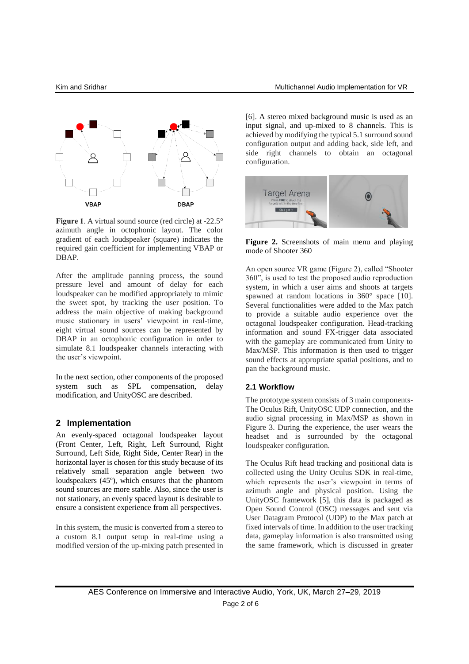

Figure 1. A virtual sound source (red circle) at -22.5° azimuth angle in octophonic layout. The color gradient of each loudspeaker (square) indicates the required gain coefficient for implementing VBAP or DBAP.

After the amplitude panning process, the sound pressure level and amount of delay for each loudspeaker can be modified appropriately to mimic the sweet spot, by tracking the user position. To address the main objective of making background music stationary in users' viewpoint in real-time, eight virtual sound sources can be represented by DBAP in an octophonic configuration in order to simulate 8.1 loudspeaker channels interacting with the user's viewpoint.

In the next section, other components of the proposed system such as SPL compensation, delay modification, and UnityOSC are described.

#### **2 Implementation**

An evenly-spaced octagonal loudspeaker layout (Front Center, Left, Right, Left Surround, Right Surround, Left Side, Right Side, Center Rear) in the horizontal layer is chosen for this study because of its relatively small separation angle between two loudspeakers (45º), which ensures that the phantom sound sources are more stable. Also, since the user is not stationary, an evenly spaced layout is desirable to ensure a consistent experience from all perspectives.

In this system, the music is converted from a stereo to a custom 8.1 output setup in real-time using a modified version of the up-mixing patch presented in [6]. A stereo mixed background music is used as an input signal, and up-mixed to 8 channels. This is achieved by modifying the typical 5.1 surround sound configuration output and adding back, side left, and side right channels to obtain an octagonal configuration.



**Figure 2.** Screenshots of main menu and playing mode of Shooter 360

An open source VR game (Figure 2), called "Shooter 360", is used to test the proposed audio reproduction system, in which a user aims and shoots at targets spawned at random locations in 360° space [10]. Several functionalities were added to the Max patch to provide a suitable audio experience over the octagonal loudspeaker configuration. Head-tracking information and sound FX-trigger data associated with the gameplay are communicated from Unity to Max/MSP. This information is then used to trigger sound effects at appropriate spatial positions, and to pan the background music.

#### **2.1 Workflow**

The prototype system consists of 3 main components-The Oculus Rift, UnityOSC UDP connection, and the audio signal processing in Max/MSP as shown in Figure 3. During the experience, the user wears the headset and is surrounded by the octagonal loudspeaker configuration.

The Oculus Rift head tracking and positional data is collected using the Unity Oculus SDK in real-time, which represents the user's viewpoint in terms of azimuth angle and physical position. Using the UnityOSC framework [5], this data is packaged as Open Sound Control (OSC) messages and sent via User Datagram Protocol (UDP) to the Max patch at fixed intervals of time. In addition to the user tracking data, gameplay information is also transmitted using the same framework, which is discussed in greater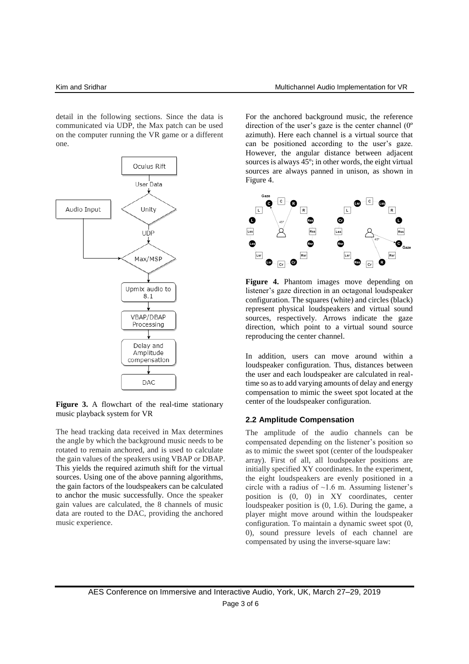detail in the following sections. Since the data is communicated via UDP, the Max patch can be used on the computer running the VR game or a different one.



**Figure 3.** A flowchart of the real-time stationary music playback system for VR

The head tracking data received in Max determines the angle by which the background music needs to be rotated to remain anchored, and is used to calculate the gain values of the speakers using VBAP or DBAP. This yields the required azimuth shift for the virtual sources. Using one of the above panning algorithms, the gain factors of the loudspeakers can be calculated to anchor the music successfully. Once the speaker gain values are calculated, the 8 channels of music data are routed to the DAC, providing the anchored music experience.

For the anchored background music, the reference direction of the user's gaze is the center channel (0º azimuth). Here each channel is a virtual source that can be positioned according to the user's gaze. However, the angular distance between adjacent sources is always 45º; in other words, the eight virtual sources are always panned in unison, as shown in Figure 4.



**Figure 4.** Phantom images move depending on listener's gaze direction in an octagonal loudspeaker configuration. The squares (white) and circles (black) represent physical loudspeakers and virtual sound sources, respectively. Arrows indicate the gaze direction, which point to a virtual sound source reproducing the center channel.

In addition, users can move around within a loudspeaker configuration. Thus, distances between the user and each loudspeaker are calculated in realtime so as to add varying amounts of delay and energy compensation to mimic the sweet spot located at the center of the loudspeaker configuration.

#### **2.2 Amplitude Compensation**

The amplitude of the audio channels can be compensated depending on the listener's position so as to mimic the sweet spot (center of the loudspeaker array). First of all, all loudspeaker positions are initially specified XY coordinates. In the experiment, the eight loudspeakers are evenly positioned in a circle with a radius of  $\sim$ 1.6 m. Assuming listener's position is (0, 0) in XY coordinates, center loudspeaker position is (0, 1.6). During the game, a player might move around within the loudspeaker configuration. To maintain a dynamic sweet spot (0, 0), sound pressure levels of each channel are compensated by using the inverse-square law: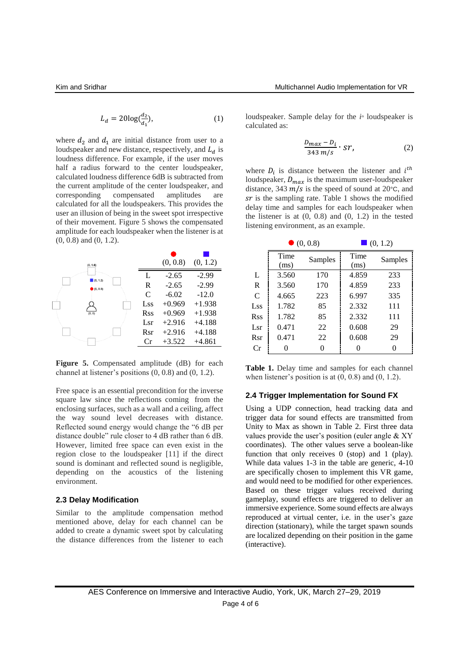$$
L_d = 20\log(\frac{d_2}{d_1}),\tag{1}
$$

where  $d_2$  and  $d_1$  are initial distance from user to a loudspeaker and new distance, respectively, and  $L_d$  is loudness difference. For example, if the user moves half a radius forward to the center loudspeaker, calculated loudness difference 6dB is subtracted from the current amplitude of the center loudspeaker, and corresponding compensated amplitudes are calculated for all the loudspeakers. This provides the user an illusion of being in the sweet spot irrespective of their movement. Figure 5 shows the compensated amplitude for each loudspeaker when the listener is at (0, 0.8) and (0, 1.2).



**Figure 5.** Compensated amplitude (dB) for each channel at listener's positions (0, 0.8) and (0, 1.2).

Free space is an essential precondition for the inverse square law since the reflections coming from the enclosing surfaces, such as a wall and a ceiling, affect the way sound level decreases with distance. Reflected sound energy would change the "6 dB per distance double" rule closer to 4 dB rather than 6 dB. However, limited free space can even exist in the region close to the loudspeaker [11] if the direct sound is dominant and reflected sound is negligible, depending on the acoustics of the listening environment.

#### **2.3 Delay Modification**

Similar to the amplitude compensation method mentioned above, delay for each channel can be added to create a dynamic sweet spot by calculating the distance differences from the listener to each

loudspeaker. Sample delay for the  $i^{\text{th}}$  loudspeaker is calculated as:

$$
\frac{D_{max} - D_i}{343 \, m/s} \cdot ST,\tag{2}
$$

where  $D_i$  is distance between the listener and  $i^{th}$ loudspeaker,  $D_{max}$  is the maximum user-loudspeaker distance, 343  $m/s$  is the speed of sound at 20 $\degree$ C, and  $sr$  is the sampling rate. Table 1 shows the modified delay time and samples for each loudspeaker when the listener is at  $(0, 0.8)$  and  $(0, 1.2)$  in the tested listening environment, as an example.

|               | $\bullet$ (0, 0.8) |         | (0, 1.2)     |         |
|---------------|--------------------|---------|--------------|---------|
|               | Time<br>(ms)       | Samples | Time<br>(ms) | Samples |
| L             | 3.560              | 170     | 4.859        | 233     |
| R             | 3.560              | 170     | 4.859        | 233     |
| $\mathcal{C}$ | 4.665              | 223     | 6.997        | 335     |
| Lss           | 1.782              | 85      | 2.332        | 111     |
| <b>Rss</b>    | 1.782              | 85      | 2.332        | 111     |
| Lsr           | 0.471              | 22      | 0.608        | 29      |
| Rsr           | 0.471              | 22      | 0.608        | 29      |
| Cr            |                    | 0       |              |         |

Table 1. Delay time and samples for each channel when listener's position is at  $(0, 0.8)$  and  $(0, 1.2)$ .

#### **2.4 Trigger Implementation for Sound FX**

Using a UDP connection, head tracking data and trigger data for sound effects are transmitted from Unity to Max as shown in Table 2. First three data values provide the user's position (euler angle & XY coordinates). The other values serve a boolean-like function that only receives 0 (stop) and 1 (play). While data values 1-3 in the table are generic, 4-10 are specifically chosen to implement this VR game, and would need to be modified for other experiences. Based on these trigger values received during gameplay, sound effects are triggered to deliver an immersive experience. Some sound effects are always reproduced at virtual center, i.e. in the user's gaze direction (stationary), while the target spawn sounds are localized depending on their position in the game (interactive).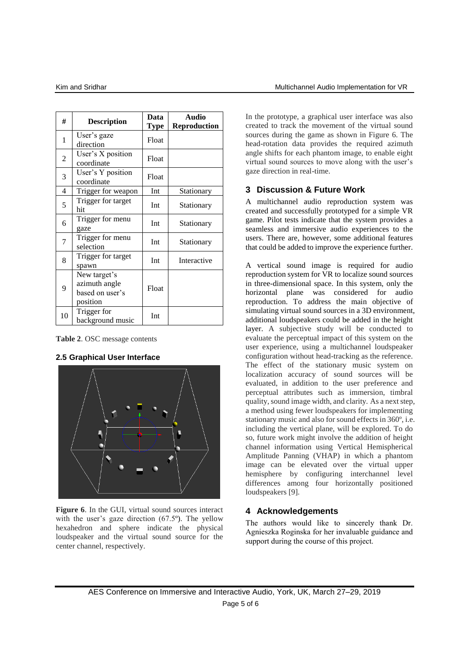| #  | <b>Description</b>                                           | Data<br><b>Type</b> | <b>Audio</b><br><b>Reproduction</b> |
|----|--------------------------------------------------------------|---------------------|-------------------------------------|
| 1  | User's gaze<br>direction                                     | Float               |                                     |
| 2  | User's X position<br>coordinate                              | Float               |                                     |
| 3  | User's Y position<br>coordinate                              | Float               |                                     |
| 4  | Trigger for weapon                                           | Int                 | Stationary                          |
| 5  | Trigger for target<br>hit                                    | Int                 | Stationary                          |
| 6  | Trigger for menu<br>gaze                                     | Int                 | Stationary                          |
| 7  | Trigger for menu<br>selection                                | Int                 | Stationary                          |
| 8  | Trigger for target<br>spawn                                  | Int                 | Interactive                         |
| 9  | New target's<br>azimuth angle<br>based on user's<br>position | Float               |                                     |
| 10 | Trigger for<br>background music                              | Int                 |                                     |

**Table 2**. OSC message contents

## **2.5 Graphical User Interface**



**Figure 6.** In the GUI, virtual sound sources interact with the user's gaze direction (67.5º). The yellow hexahedron and sphere indicate the physical loudspeaker and the virtual sound source for the center channel, respectively.

In the prototype, a graphical user interface was also created to track the movement of the virtual sound sources during the game as shown in Figure 6. The head-rotation data provides the required azimuth angle shifts for each phantom image, to enable eight virtual sound sources to move along with the user's gaze direction in real-time.

# **3 Discussion & Future Work**

A multichannel audio reproduction system was created and successfully prototyped for a simple VR game. Pilot tests indicate that the system provides a seamless and immersive audio experiences to the users. There are, however, some additional features that could be added to improve the experience further.

A vertical sound image is required for audio reproduction system for VR to localize sound sources in three-dimensional space. In this system, only the horizontal plane was considered for audio reproduction. To address the main objective of simulating virtual sound sources in a 3D environment, additional loudspeakers could be added in the height layer. A subjective study will be conducted to evaluate the perceptual impact of this system on the user experience, using a multichannel loudspeaker configuration without head-tracking as the reference. The effect of the stationary music system on localization accuracy of sound sources will be evaluated, in addition to the user preference and perceptual attributes such as immersion, timbral quality, sound image width, and clarity. As a next step, a method using fewer loudspeakers for implementing stationary music and also for sound effects in 360º, i.e. including the vertical plane, will be explored. To do so, future work might involve the addition of height channel information using Vertical Hemispherical Amplitude Panning (VHAP) in which a phantom image can be elevated over the virtual upper hemisphere by configuring interchannel level differences among four horizontally positioned loudspeakers [9].

# **4 Acknowledgements**

The authors would like to sincerely thank Dr. Agnieszka Roginska for her invaluable guidance and support during the course of this project.